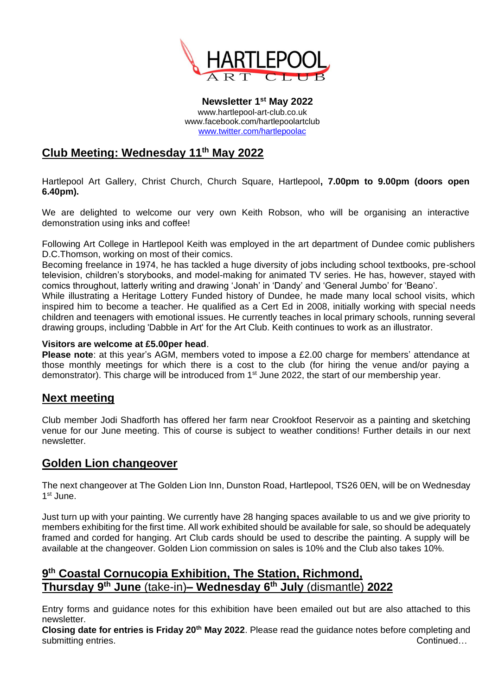

**Newsletter 1 st May 2022** www.hartlepool-art-club.co.uk www.facebook.com/hartlepoolartclub [www.twitter.com/hartlepoolac](http://www.twitter.com/hartlepoolac)

# **Club Meeting: Wednesday 11 th May 2022**

Hartlepool Art Gallery, Christ Church, Church Square, Hartlepool**, 7.00pm to 9.00pm (doors open 6.40pm).**

We are delighted to welcome our very own Keith Robson, who will be organising an interactive demonstration using inks and coffee!

Following Art College in Hartlepool Keith was employed in the art department of Dundee comic publishers D.C.Thomson, working on most of their comics.

Becoming freelance in 1974, he has tackled a huge diversity of jobs including school textbooks, pre-school television, children's storybooks, and model-making for animated TV series. He has, however, stayed with comics throughout, latterly writing and drawing 'Jonah' in 'Dandy' and 'General Jumbo' for 'Beano'.

While illustrating a Heritage Lottery Funded history of Dundee, he made many local school visits, which inspired him to become a teacher. He qualified as a Cert Ed in 2008, initially working with special needs children and teenagers with emotional issues. He currently teaches in local primary schools, running several drawing groups, including 'Dabble in Art' for the Art Club. Keith continues to work as an illustrator.

#### **Visitors are welcome at £5.00per head**.

**Please note**: at this year's AGM, members voted to impose a £2.00 charge for members' attendance at those monthly meetings for which there is a cost to the club (for hiring the venue and/or paying a demonstrator). This charge will be introduced from 1<sup>st</sup> June 2022, the start of our membership year.

### **Next meeting**

Club member Jodi Shadforth has offered her farm near Crookfoot Reservoir as a painting and sketching venue for our June meeting. This of course is subject to weather conditions! Further details in our next newsletter.

#### **Golden Lion changeover**

The next changeover at The Golden Lion Inn, Dunston Road, Hartlepool, TS26 0EN, will be on Wednesday 1<sup>st</sup> June.

Just turn up with your painting. We currently have 28 hanging spaces available to us and we give priority to members exhibiting for the first time. All work exhibited should be available for sale, so should be adequately framed and corded for hanging. Art Club cards should be used to describe the painting. A supply will be available at the changeover. Golden Lion commission on sales is 10% and the Club also takes 10%.

## **9 th Coastal Cornucopia Exhibition, The Station, Richmond, Thursday 9 th June** (take-in)**– Wednesday 6 th July** (dismantle) **2022**

Entry forms and guidance notes for this exhibition have been emailed out but are also attached to this newsletter.

**Closing date for entries is Friday 20th May 2022**. Please read the guidance notes before completing and submitting entries. Continued…